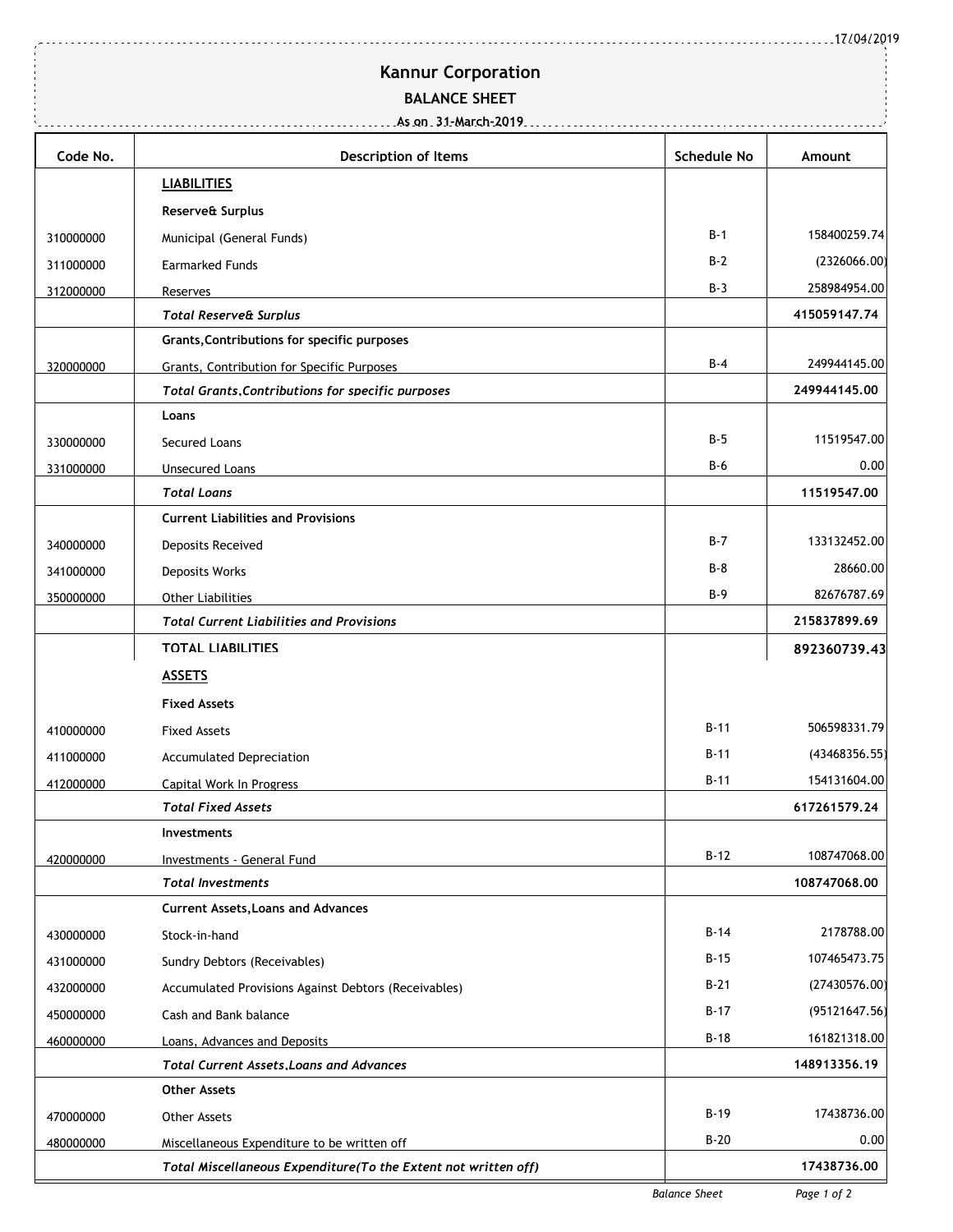17/04/2019

## **Kannur Corporation**

## **BALANCE SHEET**

| Code No.  | <b>Description of Items</b>                                    | <b>Schedule No</b> | Amount        |  |
|-----------|----------------------------------------------------------------|--------------------|---------------|--|
|           | <b>LIABILITIES</b>                                             |                    |               |  |
|           | Reserve& Surplus                                               |                    |               |  |
| 310000000 | Municipal (General Funds)                                      | $B-1$              | 158400259.74  |  |
| 311000000 | <b>Earmarked Funds</b>                                         | $B-2$              | (2326066.00)  |  |
| 312000000 | Reserves                                                       | $B-3$              | 258984954.00  |  |
|           | <b>Total Reserve&amp; Surplus</b>                              |                    | 415059147.74  |  |
|           | Grants, Contributions for specific purposes                    |                    |               |  |
| 320000000 | Grants, Contribution for Specific Purposes                     | $B-4$              | 249944145.00  |  |
|           | <b>Total Grants, Contributions for specific purposes</b>       |                    | 249944145.00  |  |
|           | Loans                                                          |                    |               |  |
| 330000000 | Secured Loans                                                  | $B-5$              | 11519547.00   |  |
| 331000000 | <b>Unsecured Loans</b>                                         | B-6                | 0.00          |  |
|           | <b>Total Loans</b>                                             |                    | 11519547.00   |  |
|           | <b>Current Liabilities and Provisions</b>                      |                    |               |  |
| 340000000 | Deposits Received                                              | $B-7$              | 133132452.00  |  |
| 341000000 | Deposits Works                                                 | $B-8$              | 28660.00      |  |
| 350000000 | <b>Other Liabilities</b>                                       | $B-9$              | 82676787.69   |  |
|           | <b>Total Current Liabilities and Provisions</b>                |                    | 215837899.69  |  |
|           | <b>TOTAL LIABILITIES</b>                                       |                    | 892360739.43  |  |
|           | <b>ASSETS</b>                                                  |                    |               |  |
|           | <b>Fixed Assets</b>                                            |                    |               |  |
| 410000000 | <b>Fixed Assets</b>                                            | $B-11$             | 506598331.79  |  |
| 411000000 | Accumulated Depreciation                                       | B-11               | (43468356.55) |  |
| 412000000 | Capital Work In Progress                                       | $B-11$             | 154131604.00  |  |
|           | <b>Total Fixed Assets</b>                                      |                    | 617261579.24  |  |
|           | <b>Investments</b>                                             |                    |               |  |
| 420000000 | Investments - General Fund                                     | $B-12$             | 108747068.00  |  |
|           | <b>Total Investments</b>                                       |                    | 108747068.00  |  |
|           | <b>Current Assets, Loans and Advances</b>                      |                    |               |  |
| 430000000 | Stock-in-hand                                                  | $B-14$             | 2178788.00    |  |
| 431000000 | Sundry Debtors (Receivables)                                   | $B-15$             | 107465473.75  |  |
| 432000000 | Accumulated Provisions Against Debtors (Receivables)           | $B-21$             | (27430576.00) |  |
| 450000000 | Cash and Bank balance                                          | $B-17$             | (95121647.56) |  |
| 460000000 | Loans, Advances and Deposits                                   | $B-18$             | 161821318.00  |  |
|           | <b>Total Current Assets, Loans and Advances</b>                |                    | 148913356.19  |  |
|           | <b>Other Assets</b>                                            |                    |               |  |
| 470000000 | Other Assets                                                   | B-19               | 17438736.00   |  |
| 480000000 | Miscellaneous Expenditure to be written off                    | $B-20$             | 0.00          |  |
|           | Total Miscellaneous Expenditure(To the Extent not written off) |                    | 17438736.00   |  |

*Balance Sheet Page 1 of 2*